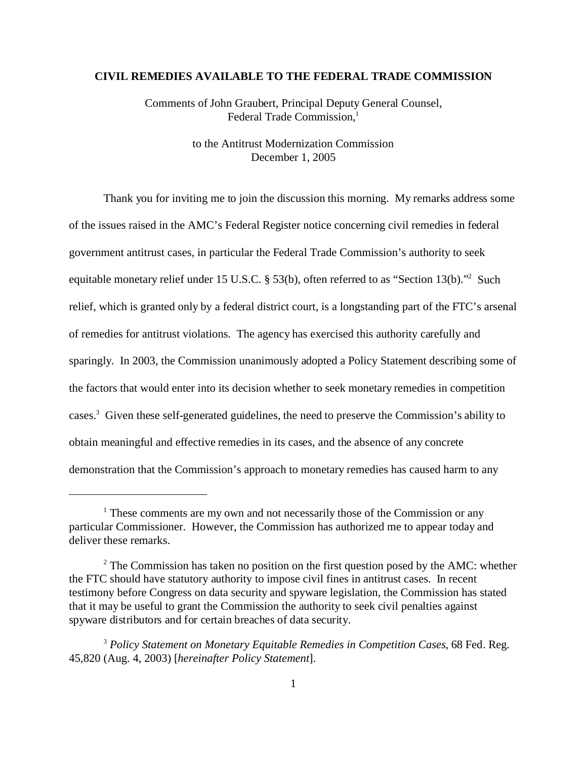#### **CIVIL REMEDIES AVAILABLE TO THE FEDERAL TRADE COMMISSION**

Comments of John Graubert, Principal Deputy General Counsel, Federal Trade Commission,<sup>1</sup>

> to the Antitrust Modernization Commission December 1, 2005

Thank you for inviting me to join the discussion this morning. My remarks address some of the issues raised in the AMC's Federal Register notice concerning civil remedies in federal government antitrust cases, in particular the Federal Trade Commission's authority to seek equitable monetary relief under 15 U.S.C. § 53(b), often referred to as "Section 13(b)."<sup>2</sup> Such relief, which is granted only by a federal district court, is a longstanding part of the FTC's arsenal of remedies for antitrust violations. The agency has exercised this authority carefully and sparingly. In 2003, the Commission unanimously adopted a Policy Statement describing some of the factors that would enter into its decision whether to seek monetary remedies in competition cases.<sup>3</sup> Given these self-generated guidelines, the need to preserve the Commission's ability to obtain meaningful and effective remedies in its cases, and the absence of any concrete demonstration that the Commission's approach to monetary remedies has caused harm to any

<sup>&</sup>lt;sup>1</sup> These comments are my own and not necessarily those of the Commission or any particular Commissioner. However, the Commission has authorized me to appear today and deliver these remarks.

 $2^2$  The Commission has taken no position on the first question posed by the AMC: whether the FTC should have statutory authority to impose civil fines in antitrust cases. In recent testimony before Congress on data security and spyware legislation, the Commission has stated that it may be useful to grant the Commission the authority to seek civil penalties against spyware distributors and for certain breaches of data security.

<sup>3</sup>*Policy Statement on Monetary Equitable Remedies in Competition Cases*, 68 Fed. Reg. 45,820 (Aug. 4, 2003) [*hereinafter Policy Statement*].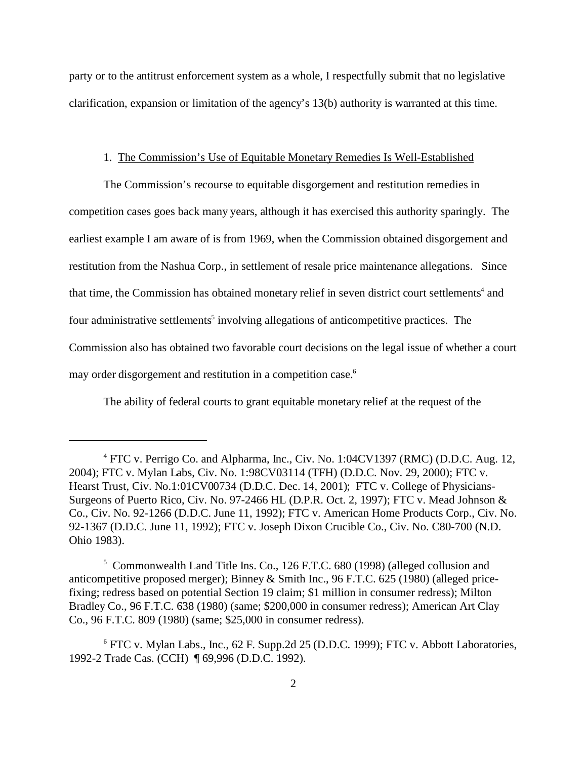party or to the antitrust enforcement system as a whole, I respectfully submit that no legislative clarification, expansion or limitation of the agency's 13(b) authority is warranted at this time.

#### 1. The Commission's Use of Equitable Monetary Remedies Is Well-Established

The Commission's recourse to equitable disgorgement and restitution remedies in competition cases goes back many years, although it has exercised this authority sparingly. The earliest example I am aware of is from 1969, when the Commission obtained disgorgement and restitution from the Nashua Corp., in settlement of resale price maintenance allegations. Since that time, the Commission has obtained monetary relief in seven district court settlements<sup>4</sup> and four administrative settlements<sup>5</sup> involving allegations of anticompetitive practices. The Commission also has obtained two favorable court decisions on the legal issue of whether a court may order disgorgement and restitution in a competition case.<sup>6</sup>

The ability of federal courts to grant equitable monetary relief at the request of the

<sup>&</sup>lt;sup>4</sup> FTC v. Perrigo Co. and Alpharma, Inc., Civ. No. 1:04CV1397 (RMC) (D.D.C. Aug. 12, 2004); FTC v. Mylan Labs, Civ. No. 1:98CV03114 (TFH) (D.D.C. Nov. 29, 2000); FTC v. Hearst Trust, Civ. No.1:01CV00734 (D.D.C. Dec. 14, 2001); FTC v. College of Physicians-Surgeons of Puerto Rico, Civ. No. 97-2466 HL (D.P.R. Oct. 2, 1997); FTC v. Mead Johnson & Co., Civ. No. 92-1266 (D.D.C. June 11, 1992); FTC v. American Home Products Corp., Civ. No. 92-1367 (D.D.C. June 11, 1992); FTC v. Joseph Dixon Crucible Co., Civ. No. C80-700 (N.D. Ohio 1983).

<sup>&</sup>lt;sup>5</sup> Commonwealth Land Title Ins. Co., 126 F.T.C. 680 (1998) (alleged collusion and anticompetitive proposed merger); Binney & Smith Inc., 96 F.T.C. 625 (1980) (alleged pricefixing; redress based on potential Section 19 claim; \$1 million in consumer redress); Milton Bradley Co., 96 F.T.C. 638 (1980) (same; \$200,000 in consumer redress); American Art Clay Co., 96 F.T.C. 809 (1980) (same; \$25,000 in consumer redress).

<sup>&</sup>lt;sup>6</sup> FTC v. Mylan Labs., Inc., 62 F. Supp.2d 25 (D.D.C. 1999); FTC v. Abbott Laboratories, 1992-2 Trade Cas. (CCH) ¶ 69,996 (D.D.C. 1992).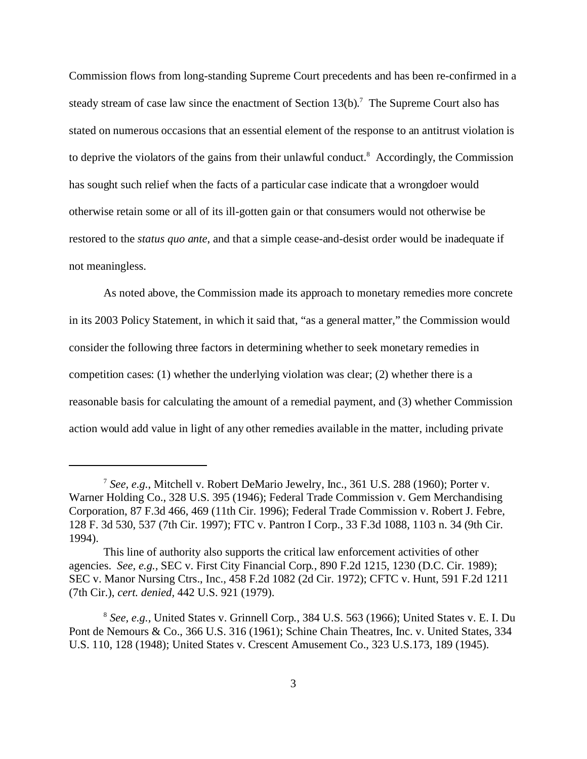Commission flows from long-standing Supreme Court precedents and has been re-confirmed in a steady stream of case law since the enactment of Section  $13(b)$ .<sup>7</sup> The Supreme Court also has stated on numerous occasions that an essential element of the response to an antitrust violation is to deprive the violators of the gains from their unlawful conduct.<sup>8</sup> Accordingly, the Commission has sought such relief when the facts of a particular case indicate that a wrongdoer would otherwise retain some or all of its ill-gotten gain or that consumers would not otherwise be restored to the *status quo ante*, and that a simple cease-and-desist order would be inadequate if not meaningless.

As noted above, the Commission made its approach to monetary remedies more concrete in its 2003 Policy Statement, in which it said that, "as a general matter," the Commission would consider the following three factors in determining whether to seek monetary remedies in competition cases: (1) whether the underlying violation was clear; (2) whether there is a reasonable basis for calculating the amount of a remedial payment, and (3) whether Commission action would add value in light of any other remedies available in the matter, including private

<sup>7</sup>*See, e.g.*, Mitchell v. Robert DeMario Jewelry, Inc., 361 U.S. 288 (1960); Porter v. Warner Holding Co., 328 U.S. 395 (1946); Federal Trade Commission v. Gem Merchandising Corporation, 87 F.3d 466, 469 (11th Cir. 1996); Federal Trade Commission v. Robert J. Febre, 128 F. 3d 530, 537 (7th Cir. 1997); FTC v. Pantron I Corp., 33 F.3d 1088, 1103 n. 34 (9th Cir. 1994).

This line of authority also supports the critical law enforcement activities of other agencies. *See, e.g.,* SEC v. First City Financial Corp*.*, 890 F.2d 1215, 1230 (D.C. Cir. 1989); SEC v. Manor Nursing Ctrs., Inc., 458 F.2d 1082 (2d Cir. 1972); CFTC v. Hunt, 591 F.2d 1211 (7th Cir.), *cert. denied,* 442 U.S. 921 (1979).

<sup>8</sup>*See, e.g.,* United States v. Grinnell Corp*.*, 384 U.S. 563 (1966); United States v. E. I. Du Pont de Nemours & Co., 366 U.S. 316 (1961); Schine Chain Theatres, Inc. v. United States, 334 U.S. 110, 128 (1948); United States v. Crescent Amusement Co., 323 U.S.173, 189 (1945).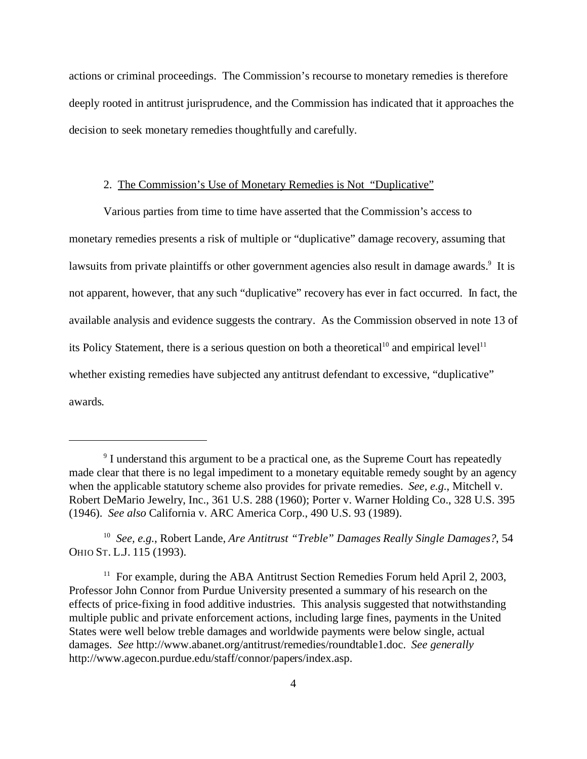actions or criminal proceedings. The Commission's recourse to monetary remedies is therefore deeply rooted in antitrust jurisprudence, and the Commission has indicated that it approaches the decision to seek monetary remedies thoughtfully and carefully.

# 2. The Commission's Use of Monetary Remedies is Not "Duplicative"

Various parties from time to time have asserted that the Commission's access to monetary remedies presents a risk of multiple or "duplicative" damage recovery, assuming that lawsuits from private plaintiffs or other government agencies also result in damage awards.<sup>9</sup> It is not apparent, however, that any such "duplicative" recovery has ever in fact occurred. In fact, the available analysis and evidence suggests the contrary. As the Commission observed in note 13 of its Policy Statement, there is a serious question on both a theoretical<sup>10</sup> and empirical level<sup>11</sup> whether existing remedies have subjected any antitrust defendant to excessive, "duplicative" awards.

<sup>&</sup>lt;sup>9</sup> I understand this argument to be a practical one, as the Supreme Court has repeatedly made clear that there is no legal impediment to a monetary equitable remedy sought by an agency when the applicable statutory scheme also provides for private remedies. *See, e.g.*, Mitchell v. Robert DeMario Jewelry, Inc., 361 U.S. 288 (1960); Porter v. Warner Holding Co., 328 U.S. 395 (1946). *See also* California v. ARC America Corp., 490 U.S. 93 (1989).

<sup>10</sup>*See, e.g.*, Robert Lande, *Are Antitrust "Treble" Damages Really Single Damages?*, 54 OHIO ST. L.J. 115 (1993).

<sup>&</sup>lt;sup>11</sup> For example, during the ABA Antitrust Section Remedies Forum held April 2, 2003, Professor John Connor from Purdue University presented a summary of his research on the effects of price-fixing in food additive industries. This analysis suggested that notwithstanding multiple public and private enforcement actions, including large fines, payments in the United States were well below treble damages and worldwide payments were below single, actual damages. *See* http://www.abanet.org/antitrust/remedies/roundtable1.doc. *See generally*  http://www.agecon.purdue.edu/staff/connor/papers/index.asp.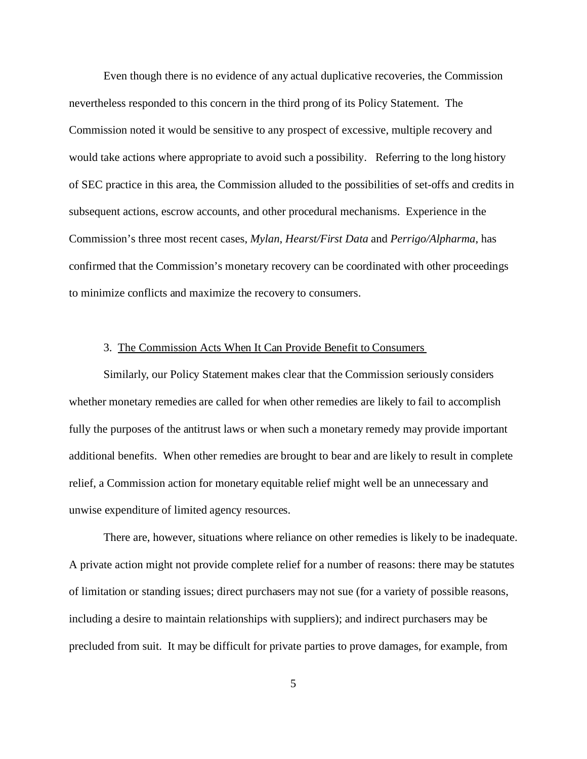Even though there is no evidence of any actual duplicative recoveries, the Commission nevertheless responded to this concern in the third prong of its Policy Statement. The Commission noted it would be sensitive to any prospect of excessive, multiple recovery and would take actions where appropriate to avoid such a possibility. Referring to the long history of SEC practice in this area, the Commission alluded to the possibilities of set-offs and credits in subsequent actions, escrow accounts, and other procedural mechanisms. Experience in the Commission's three most recent cases, *Mylan*, *Hearst/First Data* and *Perrigo/Alpharma*, has confirmed that the Commission's monetary recovery can be coordinated with other proceedings to minimize conflicts and maximize the recovery to consumers.

# 3. The Commission Acts When It Can Provide Benefit to Consumers

Similarly, our Policy Statement makes clear that the Commission seriously considers whether monetary remedies are called for when other remedies are likely to fail to accomplish fully the purposes of the antitrust laws or when such a monetary remedy may provide important additional benefits. When other remedies are brought to bear and are likely to result in complete relief, a Commission action for monetary equitable relief might well be an unnecessary and unwise expenditure of limited agency resources.

There are, however, situations where reliance on other remedies is likely to be inadequate. A private action might not provide complete relief for a number of reasons: there may be statutes of limitation or standing issues; direct purchasers may not sue (for a variety of possible reasons, including a desire to maintain relationships with suppliers); and indirect purchasers may be precluded from suit. It may be difficult for private parties to prove damages, for example, from